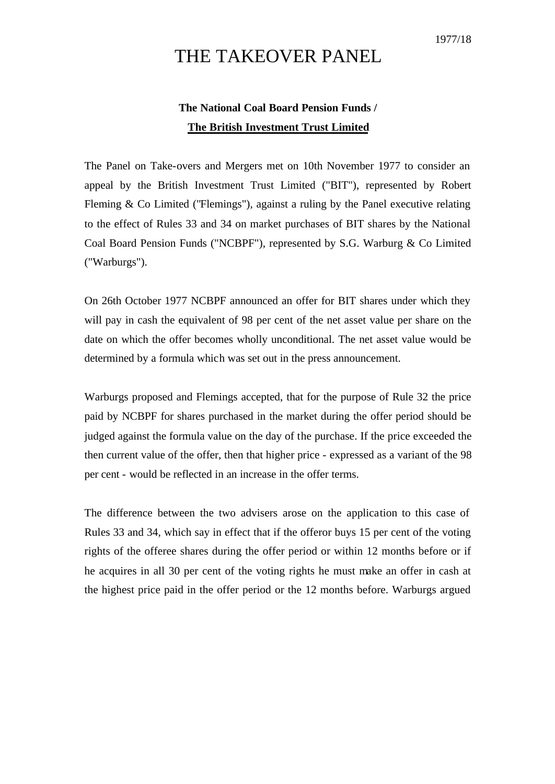## THE TAKEOVER PANEL

## **The National Coal Board Pension Funds / The British Investment Trust Limited**

The Panel on Take-overs and Mergers met on 10th November 1977 to consider an appeal by the British Investment Trust Limited ("BIT"), represented by Robert Fleming & Co Limited ("Flemings"), against a ruling by the Panel executive relating to the effect of Rules 33 and 34 on market purchases of BIT shares by the National Coal Board Pension Funds ("NCBPF"), represented by S.G. Warburg & Co Limited ("Warburgs").

On 26th October 1977 NCBPF announced an offer for BIT shares under which they will pay in cash the equivalent of 98 per cent of the net asset value per share on the date on which the offer becomes wholly unconditional. The net asset value would be determined by a formula which was set out in the press announcement.

Warburgs proposed and Flemings accepted, that for the purpose of Rule 32 the price paid by NCBPF for shares purchased in the market during the offer period should be judged against the formula value on the day of the purchase. If the price exceeded the then current value of the offer, then that higher price - expressed as a variant of the 98 per cent - would be reflected in an increase in the offer terms.

The difference between the two advisers arose on the application to this case of Rules 33 and 34, which say in effect that if the offeror buys 15 per cent of the voting rights of the offeree shares during the offer period or within 12 months before or if he acquires in all 30 per cent of the voting rights he must make an offer in cash at the highest price paid in the offer period or the 12 months before. Warburgs argued